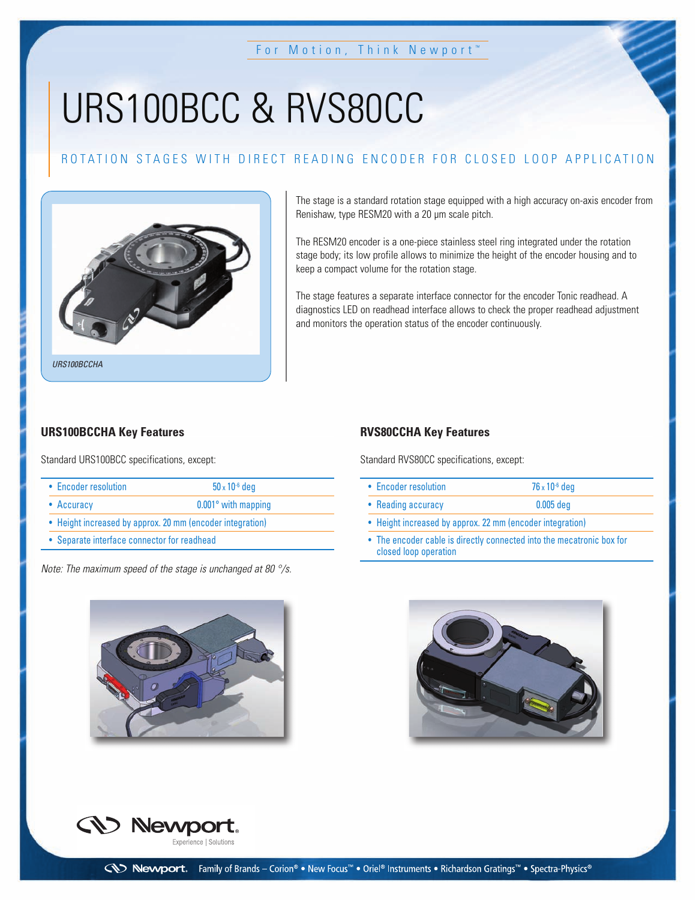# URS100BCC & RVS80CC

# ROTATION STAGES WITH DIRECT READING ENCODER FOR CLOSED LOOP APPLICATION



The stage is a standard rotation stage equipped with a high accuracy on-axis encoder from Renishaw, type RESM20 with a 20 µm scale pitch.

The RESM20 encoder is a one-piece stainless steel ring integrated under the rotation stage body; its low profile allows to minimize the height of the encoder housing and to keep a compact volume for the rotation stage.

The stage features a separate interface connector for the encoder Tonic readhead. A diagnostics LED on readhead interface allows to check the proper readhead adjustment and monitors the operation status of the encoder continuously.

#### **URS100BCCHA Key Features**

Standard URS100BCC specifications, except:

| • Encoder resolution | $50 \times 10^{-6}$ deg    |  |  |
|----------------------|----------------------------|--|--|
| • Accuracy           | $0.001^\circ$ with mapping |  |  |

- Height increased by approx. 20 mm (encoder integration)
- Separate interface connector for readhead

Note: The maximum speed of the stage is unchanged at 80 °/s.

### **RVS80CCHA Key Features**

Standard RVS80CC specifications, except:

| • Encoder resolution | $76 \times 10^{-6}$ deg |  |
|----------------------|-------------------------|--|
| • Reading accuracy   | $0.005$ deg             |  |
|                      |                         |  |

- Height increased by approx. 22 mm (encoder integration)
- The encoder cable is directly connected into the mecatronic box for closed loop operation